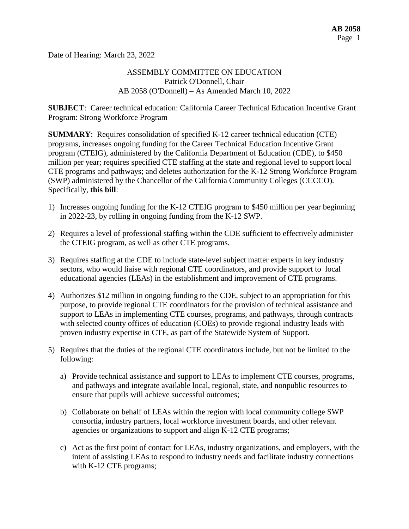Date of Hearing: March 23, 2022

## ASSEMBLY COMMITTEE ON EDUCATION Patrick O'Donnell, Chair AB 2058 (O'Donnell) – As Amended March 10, 2022

**SUBJECT**: Career technical education: California Career Technical Education Incentive Grant Program: Strong Workforce Program

**SUMMARY**: Requires consolidation of specified K-12 career technical education (CTE) programs, increases ongoing funding for the Career Technical Education Incentive Grant program (CTEIG), administered by the California Department of Education (CDE), to \$450 million per year; requires specified CTE staffing at the state and regional level to support local CTE programs and pathways; and deletes authorization for the K-12 Strong Workforce Program (SWP) administered by the Chancellor of the California Community Colleges (CCCCO). Specifically, **this bill**:

- 1) Increases ongoing funding for the K-12 CTEIG program to \$450 million per year beginning in 2022-23, by rolling in ongoing funding from the K-12 SWP.
- 2) Requires a level of professional staffing within the CDE sufficient to effectively administer the CTEIG program, as well as other CTE programs.
- 3) Requires staffing at the CDE to include state-level subject matter experts in key industry sectors, who would liaise with regional CTE coordinators, and provide support to local educational agencies (LEAs) in the establishment and improvement of CTE programs.
- 4) Authorizes \$12 million in ongoing funding to the CDE, subject to an appropriation for this purpose, to provide regional CTE coordinators for the provision of technical assistance and support to LEAs in implementing CTE courses, programs, and pathways, through contracts with selected county offices of education (COEs) to provide regional industry leads with proven industry expertise in CTE, as part of the Statewide System of Support.
- 5) Requires that the duties of the regional CTE coordinators include, but not be limited to the following:
	- a) Provide technical assistance and support to LEAs to implement CTE courses, programs, and pathways and integrate available local, regional, state, and nonpublic resources to ensure that pupils will achieve successful outcomes;
	- b) Collaborate on behalf of LEAs within the region with local community college SWP consortia, industry partners, local workforce investment boards, and other relevant agencies or organizations to support and align K-12 CTE programs;
	- c) Act as the first point of contact for LEAs, industry organizations, and employers, with the intent of assisting LEAs to respond to industry needs and facilitate industry connections with K-12 CTE programs;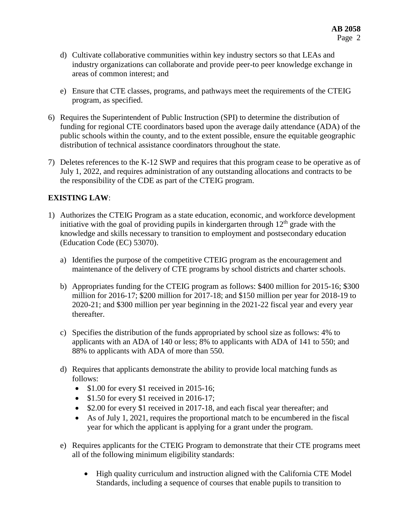- d) Cultivate collaborative communities within key industry sectors so that LEAs and industry organizations can collaborate and provide peer-to peer knowledge exchange in areas of common interest; and
- e) Ensure that CTE classes, programs, and pathways meet the requirements of the CTEIG program, as specified.
- 6) Requires the Superintendent of Public Instruction (SPI) to determine the distribution of funding for regional CTE coordinators based upon the average daily attendance (ADA) of the public schools within the county, and to the extent possible, ensure the equitable geographic distribution of technical assistance coordinators throughout the state.
- 7) Deletes references to the K-12 SWP and requires that this program cease to be operative as of July 1, 2022, and requires administration of any outstanding allocations and contracts to be the responsibility of the CDE as part of the CTEIG program.

# **EXISTING LAW**:

- 1) Authorizes the CTEIG Program as a state education, economic, and workforce development initiative with the goal of providing pupils in kindergarten through  $12<sup>th</sup>$  grade with the knowledge and skills necessary to transition to employment and postsecondary education (Education Code (EC) 53070).
	- a) Identifies the purpose of the competitive CTEIG program as the encouragement and maintenance of the delivery of CTE programs by school districts and charter schools.
	- b) Appropriates funding for the CTEIG program as follows: \$400 million for 2015-16; \$300 million for 2016-17; \$200 million for 2017-18; and \$150 million per year for 2018-19 to 2020-21; and \$300 million per year beginning in the 2021-22 fiscal year and every year thereafter.
	- c) Specifies the distribution of the funds appropriated by school size as follows: 4% to applicants with an ADA of 140 or less; 8% to applicants with ADA of 141 to 550; and 88% to applicants with ADA of more than 550.
	- d) Requires that applicants demonstrate the ability to provide local matching funds as follows:
		- \$1.00 for every \$1 received in 2015-16;
		- $\bullet$  \$1.50 for every \$1 received in 2016-17;
		- \$2.00 for every \$1 received in 2017-18, and each fiscal year thereafter; and
		- As of July 1, 2021, requires the proportional match to be encumbered in the fiscal year for which the applicant is applying for a grant under the program.
	- e) Requires applicants for the CTEIG Program to demonstrate that their CTE programs meet all of the following minimum eligibility standards:
		- High quality curriculum and instruction aligned with the California CTE Model Standards, including a sequence of courses that enable pupils to transition to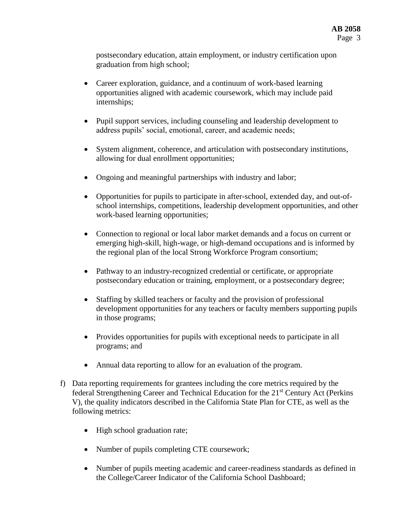postsecondary education, attain employment, or industry certification upon graduation from high school;

- Career exploration, guidance, and a continuum of work-based learning opportunities aligned with academic coursework, which may include paid internships;
- Pupil support services, including counseling and leadership development to address pupils' social, emotional, career, and academic needs;
- System alignment, coherence, and articulation with postsecondary institutions, allowing for dual enrollment opportunities;
- Ongoing and meaningful partnerships with industry and labor;
- Opportunities for pupils to participate in after-school, extended day, and out-ofschool internships, competitions, leadership development opportunities, and other work-based learning opportunities;
- Connection to regional or local labor market demands and a focus on current or emerging high-skill, high-wage, or high-demand occupations and is informed by the regional plan of the local Strong Workforce Program consortium;
- Pathway to an industry-recognized credential or certificate, or appropriate postsecondary education or training, employment, or a postsecondary degree;
- Staffing by skilled teachers or faculty and the provision of professional development opportunities for any teachers or faculty members supporting pupils in those programs;
- Provides opportunities for pupils with exceptional needs to participate in all programs; and
- Annual data reporting to allow for an evaluation of the program.
- f) Data reporting requirements for grantees including the core metrics required by the federal Strengthening Career and Technical Education for the 21st Century Act (Perkins V), the quality indicators described in the California State Plan for CTE, as well as the following metrics:
	- High school graduation rate;
	- Number of pupils completing CTE coursework;
	- Number of pupils meeting academic and career-readiness standards as defined in the College/Career Indicator of the California School Dashboard;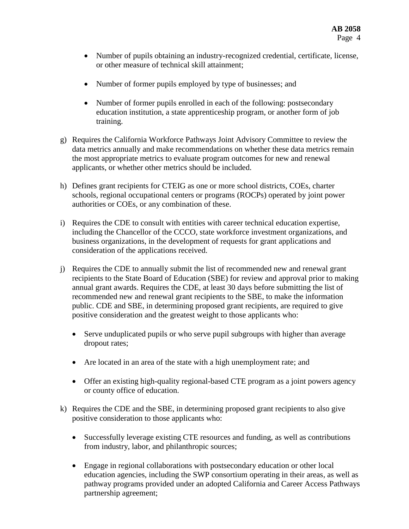- Number of pupils obtaining an industry-recognized credential, certificate, license, or other measure of technical skill attainment;
- Number of former pupils employed by type of businesses; and
- Number of former pupils enrolled in each of the following: postsecondary education institution, a state apprenticeship program, or another form of job training.
- g) Requires the California Workforce Pathways Joint Advisory Committee to review the data metrics annually and make recommendations on whether these data metrics remain the most appropriate metrics to evaluate program outcomes for new and renewal applicants, or whether other metrics should be included.
- h) Defines grant recipients for CTEIG as one or more school districts, COEs, charter schools, regional occupational centers or programs (ROCPs) operated by joint power authorities or COEs, or any combination of these.
- i) Requires the CDE to consult with entities with career technical education expertise, including the Chancellor of the CCCO, state workforce investment organizations, and business organizations, in the development of requests for grant applications and consideration of the applications received.
- j) Requires the CDE to annually submit the list of recommended new and renewal grant recipients to the State Board of Education (SBE) for review and approval prior to making annual grant awards. Requires the CDE, at least 30 days before submitting the list of recommended new and renewal grant recipients to the SBE, to make the information public. CDE and SBE, in determining proposed grant recipients, are required to give positive consideration and the greatest weight to those applicants who:
	- Serve unduplicated pupils or who serve pupil subgroups with higher than average dropout rates;
	- Are located in an area of the state with a high unemployment rate; and
	- Offer an existing high-quality regional-based CTE program as a joint powers agency or county office of education.
- k) Requires the CDE and the SBE, in determining proposed grant recipients to also give positive consideration to those applicants who:
	- Successfully leverage existing CTE resources and funding, as well as contributions from industry, labor, and philanthropic sources;
	- Engage in regional collaborations with postsecondary education or other local education agencies, including the SWP consortium operating in their areas, as well as pathway programs provided under an adopted California and Career Access Pathways partnership agreement;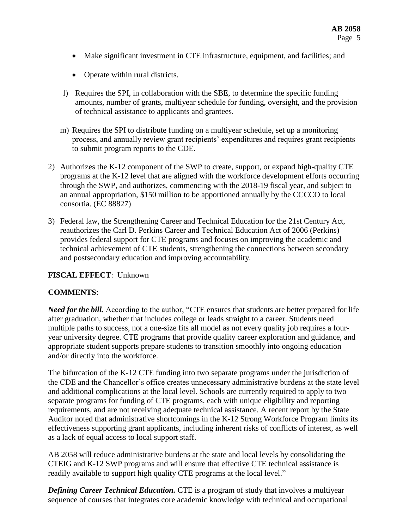- Make significant investment in CTE infrastructure, equipment, and facilities; and
- Operate within rural districts.
- l) Requires the SPI, in collaboration with the SBE, to determine the specific funding amounts, number of grants, multiyear schedule for funding, oversight, and the provision of technical assistance to applicants and grantees.
- m) Requires the SPI to distribute funding on a multiyear schedule, set up a monitoring process, and annually review grant recipients' expenditures and requires grant recipients to submit program reports to the CDE.
- 2) Authorizes the K-12 component of the SWP to create, support, or expand high-quality CTE programs at the K-12 level that are aligned with the workforce development efforts occurring through the SWP, and authorizes, commencing with the 2018-19 fiscal year, and subject to an annual appropriation, \$150 million to be apportioned annually by the CCCCO to local consortia. (EC 88827)
- 3) Federal law, the Strengthening Career and Technical Education for the 21st Century Act, reauthorizes the Carl D. Perkins Career and Technical Education Act of 2006 (Perkins) provides federal support for CTE programs and focuses on improving the academic and technical achievement of CTE students, strengthening the connections between secondary and postsecondary education and improving accountability.

## **FISCAL EFFECT**: Unknown

## **COMMENTS**:

*Need for the bill.* According to the author, "CTE ensures that students are better prepared for life after graduation, whether that includes college or leads straight to a career. Students need multiple paths to success, not a one-size fits all model as not every quality job requires a fouryear university degree. CTE programs that provide quality career exploration and guidance, and appropriate student supports prepare students to transition smoothly into ongoing education and/or directly into the workforce.

The bifurcation of the K-12 CTE funding into two separate programs under the jurisdiction of the CDE and the Chancellor's office creates unnecessary administrative burdens at the state level and additional complications at the local level. Schools are currently required to apply to two separate programs for funding of CTE programs, each with unique eligibility and reporting requirements, and are not receiving adequate technical assistance. A recent report by the State Auditor noted that administrative shortcomings in the K-12 Strong Workforce Program limits its effectiveness supporting grant applicants, including inherent risks of conflicts of interest, as well as a lack of equal access to local support staff.

AB 2058 will reduce administrative burdens at the state and local levels by consolidating the CTEIG and K-12 SWP programs and will ensure that effective CTE technical assistance is readily available to support high quality CTE programs at the local level."

**Defining Career Technical Education.** CTE is a program of study that involves a multiyear sequence of courses that integrates core academic knowledge with technical and occupational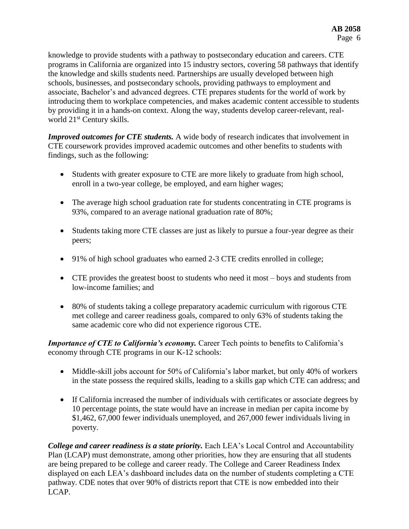knowledge to provide students with a pathway to postsecondary education and careers. CTE programs in California are organized into 15 industry sectors, covering 58 pathways that identify the knowledge and skills students need. Partnerships are usually developed between high schools, businesses, and postsecondary schools, providing pathways to employment and associate, Bachelor's and advanced degrees. CTE prepares students for the world of work by introducing them to workplace competencies, and makes academic content accessible to students by providing it in a hands-on context. Along the way, students develop career-relevant, realworld 21<sup>st</sup> Century skills.

*Improved outcomes for CTE students.* A wide body of research indicates that involvement in CTE coursework provides improved academic outcomes and other benefits to students with findings, such as the following:

- Students with greater exposure to CTE are more likely to graduate from high school, enroll in a two-year college, be employed, and earn higher wages;
- The average high school graduation rate for students concentrating in CTE programs is 93%, compared to an average national graduation rate of 80%;
- Students taking more CTE classes are just as likely to pursue a four-year degree as their peers;
- 91% of high school graduates who earned 2-3 CTE credits enrolled in college;
- CTE provides the greatest boost to students who need it most boys and students from low-income families; and
- 80% of students taking a college preparatory academic curriculum with rigorous CTE met college and career readiness goals, compared to only 63% of students taking the same academic core who did not experience rigorous CTE.

*Importance of CTE to California's economy.* Career Tech points to benefits to California's economy through CTE programs in our K-12 schools:

- Middle-skill jobs account for 50% of California's labor market, but only 40% of workers in the state possess the required skills, leading to a skills gap which CTE can address; and
- If California increased the number of individuals with certificates or associate degrees by 10 percentage points, the state would have an increase in median per capita income by \$1,462, 67,000 fewer individuals unemployed, and 267,000 fewer individuals living in poverty.

*College and career readiness is a state priority.* Each LEA's Local Control and Accountability Plan (LCAP) must demonstrate, among other priorities, how they are ensuring that all students are being prepared to be college and career ready. The College and Career Readiness Index displayed on each LEA's dashboard includes data on the number of students completing a CTE pathway. CDE notes that over 90% of districts report that CTE is now embedded into their LCAP.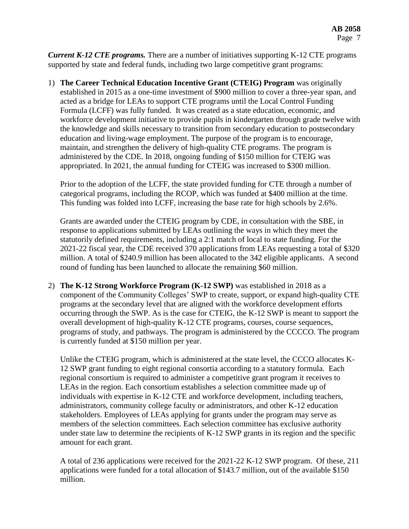*Current K-12 CTE programs.* There are a number of initiatives supporting K-12 CTE programs supported by state and federal funds, including two large competitive grant programs:

1) **The Career Technical Education Incentive Grant (CTEIG) Program** was originally established in 2015 as a one-time investment of \$900 million to cover a three-year span, and acted as a bridge for LEAs to support CTE programs until the Local Control Funding Formula (LCFF) was fully funded. It was created as a state education, economic, and workforce development initiative to provide pupils in kindergarten through grade twelve with the knowledge and skills necessary to transition from secondary education to postsecondary education and living-wage employment. The purpose of the program is to encourage, maintain, and strengthen the delivery of high-quality CTE programs. The program is administered by the CDE. In 2018, ongoing funding of \$150 million for CTEIG was appropriated. In 2021, the annual funding for CTEIG was increased to \$300 million.

Prior to the adoption of the LCFF, the state provided funding for CTE through a number of categorical programs, including the RCOP, which was funded at \$400 million at the time. This funding was folded into LCFF, increasing the base rate for high schools by 2.6%.

Grants are awarded under the CTEIG program by CDE, in consultation with the SBE, in response to applications submitted by LEAs outlining the ways in which they meet the statutorily defined requirements, including a 2:1 match of local to state funding. For the 2021-22 fiscal year, the CDE received 370 applications from LEAs requesting a total of \$320 million. A total of \$240.9 million has been allocated to the 342 eligible applicants. A second round of funding has been launched to allocate the remaining \$60 million.

2) **The K-12 Strong Workforce Program (K-12 SWP)** was established in 2018 as a component of the Community Colleges' SWP to create, support, or expand high-quality CTE programs at the secondary level that are aligned with the workforce development efforts occurring through the SWP. As is the case for CTEIG, the K-12 SWP is meant to support the overall development of high-quality K-12 CTE programs, courses, course sequences, programs of study, and pathways. The program is administered by the CCCCO. The program is currently funded at \$150 million per year.

Unlike the CTEIG program, which is administered at the state level, the CCCO allocates K-12 SWP grant funding to eight regional consortia according to a statutory formula. Each regional consortium is required to administer a competitive grant program it receives to LEAs in the region. Each consortium establishes a selection committee made up of individuals with expertise in K-12 CTE and workforce development, including teachers, administrators, community college faculty or administrators, and other K-12 education stakeholders. Employees of LEAs applying for grants under the program may serve as members of the selection committees. Each selection committee has exclusive authority under state law to determine the recipients of K-12 SWP grants in its region and the specific amount for each grant.

A total of 236 applications were received for the 2021-22 K-12 SWP program. Of these, 211 applications were funded for a total allocation of \$143.7 million, out of the available \$150 million.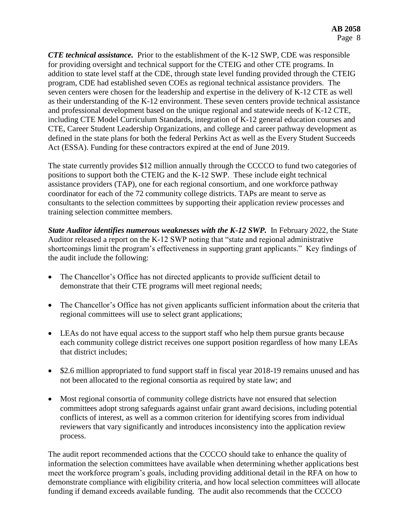*CTE technical assistance.* Prior to the establishment of the K-12 SWP, CDE was responsible for providing oversight and technical support for the CTEIG and other CTE programs. In addition to state level staff at the CDE, through state level funding provided through the CTEIG program, CDE had established seven COEs as regional technical assistance providers. The seven centers were chosen for the leadership and expertise in the delivery of K-12 CTE as well as their understanding of the K-12 environment. These seven centers provide technical assistance and professional development based on the unique regional and statewide needs of K-12 CTE, including CTE Model Curriculum Standards, integration of K-12 general education courses and CTE, Career Student Leadership Organizations, and college and career pathway development as defined in the state plans for both the federal Perkins Act as well as the Every Student Succeeds Act (ESSA). Funding for these contractors expired at the end of June 2019.

The state currently provides \$12 million annually through the CCCCO to fund two categories of positions to support both the CTEIG and the K-12 SWP. These include eight technical assistance providers (TAP), one for each regional consortium, and one workforce pathway coordinator for each of the 72 community college districts. TAPs are meant to serve as consultants to the selection committees by supporting their application review processes and training selection committee members.

*State Auditor identifies numerous weaknesses with the K-12 SWP.* In February 2022, the State Auditor released a report on the K-12 SWP noting that "state and regional administrative shortcomings limit the program's effectiveness in supporting grant applicants." Key findings of the audit include the following:

- The Chancellor's Office has not directed applicants to provide sufficient detail to demonstrate that their CTE programs will meet regional needs;
- The Chancellor's Office has not given applicants sufficient information about the criteria that regional committees will use to select grant applications;
- LEAs do not have equal access to the support staff who help them pursue grants because each community college district receives one support position regardless of how many LEAs that district includes;
- \$2.6 million appropriated to fund support staff in fiscal year 2018-19 remains unused and has not been allocated to the regional consortia as required by state law; and
- Most regional consortia of community college districts have not ensured that selection committees adopt strong safeguards against unfair grant award decisions, including potential conflicts of interest, as well as a common criterion for identifying scores from individual reviewers that vary significantly and introduces inconsistency into the application review process.

The audit report recommended actions that the CCCCO should take to enhance the quality of information the selection committees have available when determining whether applications best meet the workforce program's goals, including providing additional detail in the RFA on how to demonstrate compliance with eligibility criteria, and how local selection committees will allocate funding if demand exceeds available funding. The audit also recommends that the CCCCO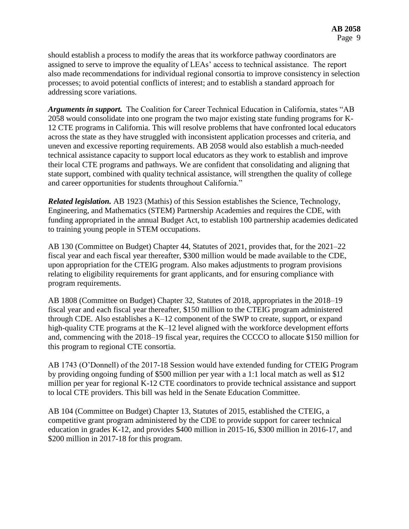should establish a process to modify the areas that its workforce pathway coordinators are assigned to serve to improve the equality of LEAs' access to technical assistance. The report also made recommendations for individual regional consortia to improve consistency in selection processes; to avoid potential conflicts of interest; and to establish a standard approach for addressing score variations.

*Arguments in support.* The Coalition for Career Technical Education in California, states "AB 2058 would consolidate into one program the two major existing state funding programs for K-12 CTE programs in California. This will resolve problems that have confronted local educators across the state as they have struggled with inconsistent application processes and criteria, and uneven and excessive reporting requirements. AB 2058 would also establish a much-needed technical assistance capacity to support local educators as they work to establish and improve their local CTE programs and pathways. We are confident that consolidating and aligning that state support, combined with quality technical assistance, will strengthen the quality of college and career opportunities for students throughout California."

*Related legislation.* AB 1923 (Mathis) of this Session establishes the Science, Technology, Engineering, and Mathematics (STEM) Partnership Academies and requires the CDE, with funding appropriated in the annual Budget Act, to establish 100 partnership academies dedicated to training young people in STEM occupations.

AB 130 (Committee on Budget) Chapter 44, Statutes of 2021, provides that, for the 2021–22 fiscal year and each fiscal year thereafter, \$300 million would be made available to the CDE, upon appropriation for the CTEIG program. Also makes adjustments to program provisions relating to eligibility requirements for grant applicants, and for ensuring compliance with program requirements.

AB 1808 (Committee on Budget) Chapter 32, Statutes of 2018, appropriates in the 2018–19 fiscal year and each fiscal year thereafter, \$150 million to the CTEIG program administered through CDE. Also establishes a K–12 component of the SWP to create, support, or expand high-quality CTE programs at the K–12 level aligned with the workforce development efforts and, commencing with the 2018–19 fiscal year, requires the CCCCO to allocate \$150 million for this program to regional CTE consortia.

AB 1743 (O'Donnell) of the 2017-18 Session would have extended funding for CTEIG Program by providing ongoing funding of \$500 million per year with a 1:1 local match as well as \$12 million per year for regional K-12 CTE coordinators to provide technical assistance and support to local CTE providers. This bill was held in the Senate Education Committee.

AB 104 (Committee on Budget) Chapter 13, Statutes of 2015, established the CTEIG, a competitive grant program administered by the CDE to provide support for career technical education in grades K-12, and provides \$400 million in 2015-16, \$300 million in 2016-17, and \$200 million in 2017-18 for this program.